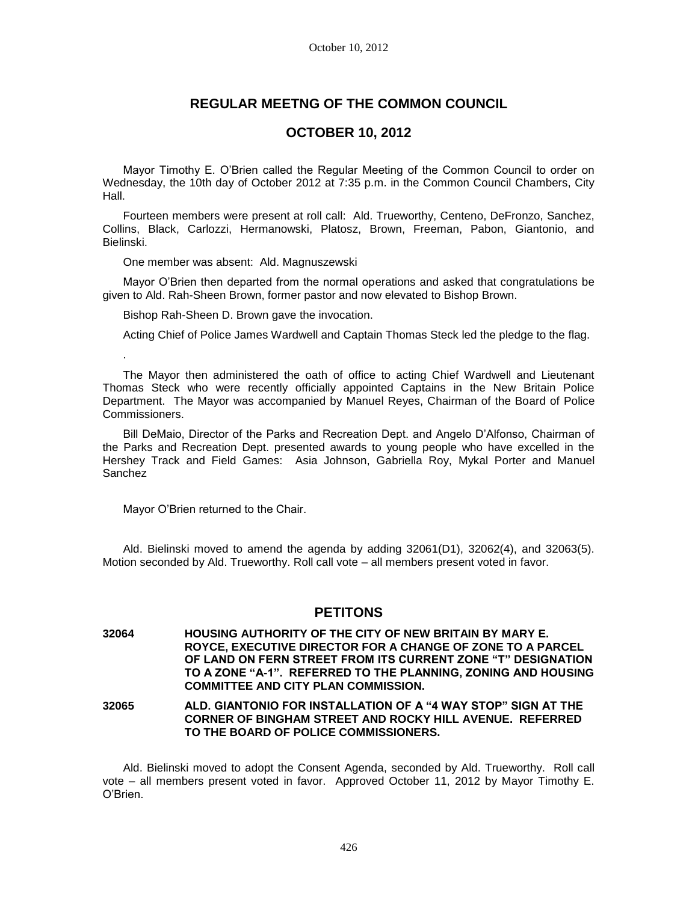# **REGULAR MEETNG OF THE COMMON COUNCIL**

## **OCTOBER 10, 2012**

Mayor Timothy E. O'Brien called the Regular Meeting of the Common Council to order on Wednesday, the 10th day of October 2012 at 7:35 p.m. in the Common Council Chambers, City Hall.

Fourteen members were present at roll call: Ald. Trueworthy, Centeno, DeFronzo, Sanchez, Collins, Black, Carlozzi, Hermanowski, Platosz, Brown, Freeman, Pabon, Giantonio, and Bielinski.

One member was absent: Ald. Magnuszewski

Mayor O'Brien then departed from the normal operations and asked that congratulations be given to Ald. Rah-Sheen Brown, former pastor and now elevated to Bishop Brown.

Bishop Rah-Sheen D. Brown gave the invocation.

Acting Chief of Police James Wardwell and Captain Thomas Steck led the pledge to the flag.

The Mayor then administered the oath of office to acting Chief Wardwell and Lieutenant Thomas Steck who were recently officially appointed Captains in the New Britain Police Department. The Mayor was accompanied by Manuel Reyes, Chairman of the Board of Police Commissioners.

Bill DeMaio, Director of the Parks and Recreation Dept. and Angelo D'Alfonso, Chairman of the Parks and Recreation Dept. presented awards to young people who have excelled in the Hershey Track and Field Games: Asia Johnson, Gabriella Roy, Mykal Porter and Manuel Sanchez

Mayor O'Brien returned to the Chair.

.

Ald. Bielinski moved to amend the agenda by adding 32061(D1), 32062(4), and 32063(5). Motion seconded by Ald. Trueworthy. Roll call vote – all members present voted in favor.

## **PETITONS**

**32064 HOUSING AUTHORITY OF THE CITY OF NEW BRITAIN BY MARY E. ROYCE, EXECUTIVE DIRECTOR FOR A CHANGE OF ZONE TO A PARCEL OF LAND ON FERN STREET FROM ITS CURRENT ZONE "T" DESIGNATION TO A ZONE "A-1". REFERRED TO THE PLANNING, ZONING AND HOUSING COMMITTEE AND CITY PLAN COMMISSION.**

**32065 ALD. GIANTONIO FOR INSTALLATION OF A "4 WAY STOP" SIGN AT THE CORNER OF BINGHAM STREET AND ROCKY HILL AVENUE. REFERRED TO THE BOARD OF POLICE COMMISSIONERS.**

Ald. Bielinski moved to adopt the Consent Agenda, seconded by Ald. Trueworthy. Roll call vote – all members present voted in favor. Approved October 11, 2012 by Mayor Timothy E. O'Brien.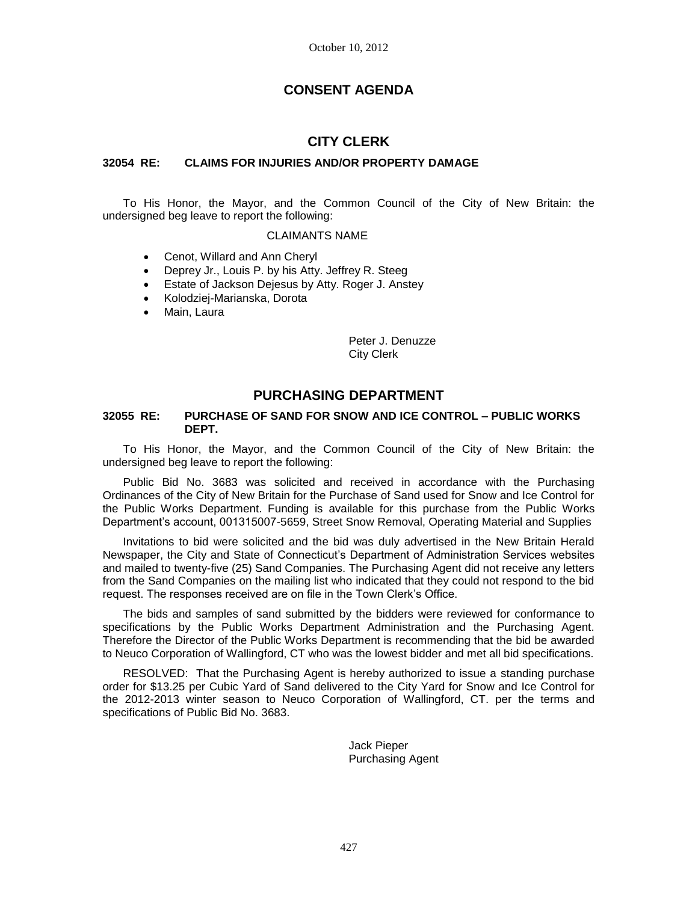# **CONSENT AGENDA**

## **CITY CLERK**

### **32054 RE: CLAIMS FOR INJURIES AND/OR PROPERTY DAMAGE**

To His Honor, the Mayor, and the Common Council of the City of New Britain: the undersigned beg leave to report the following:

#### CLAIMANTS NAME

- Cenot, Willard and Ann Cheryl
- Deprey Jr., Louis P. by his Atty. Jeffrey R. Steeg
- Estate of Jackson Dejesus by Atty. Roger J. Anstey
- Kolodziej-Marianska, Dorota
- Main, Laura

Peter J. Denuzze City Clerk

## **PURCHASING DEPARTMENT**

#### **32055 RE: PURCHASE OF SAND FOR SNOW AND ICE CONTROL – PUBLIC WORKS DEPT.**

To His Honor, the Mayor, and the Common Council of the City of New Britain: the undersigned beg leave to report the following:

Public Bid No. 3683 was solicited and received in accordance with the Purchasing Ordinances of the City of New Britain for the Purchase of Sand used for Snow and Ice Control for the Public Works Department. Funding is available for this purchase from the Public Works Department's account, 001315007-5659, Street Snow Removal, Operating Material and Supplies

Invitations to bid were solicited and the bid was duly advertised in the New Britain Herald Newspaper, the City and State of Connecticut's Department of Administration Services websites and mailed to twenty-five (25) Sand Companies. The Purchasing Agent did not receive any letters from the Sand Companies on the mailing list who indicated that they could not respond to the bid request. The responses received are on file in the Town Clerk's Office.

The bids and samples of sand submitted by the bidders were reviewed for conformance to specifications by the Public Works Department Administration and the Purchasing Agent. Therefore the Director of the Public Works Department is recommending that the bid be awarded to Neuco Corporation of Wallingford, CT who was the lowest bidder and met all bid specifications.

RESOLVED: That the Purchasing Agent is hereby authorized to issue a standing purchase order for \$13.25 per Cubic Yard of Sand delivered to the City Yard for Snow and Ice Control for the 2012-2013 winter season to Neuco Corporation of Wallingford, CT. per the terms and specifications of Public Bid No. 3683.

> Jack Pieper Purchasing Agent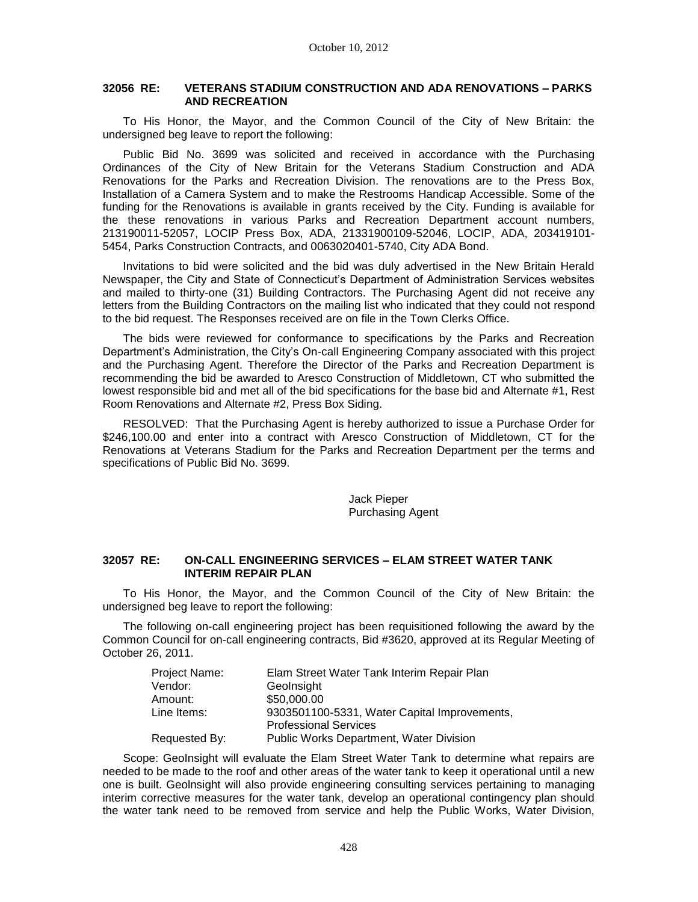### **32056 RE: VETERANS STADIUM CONSTRUCTION AND ADA RENOVATIONS – PARKS AND RECREATION**

To His Honor, the Mayor, and the Common Council of the City of New Britain: the undersigned beg leave to report the following:

Public Bid No. 3699 was solicited and received in accordance with the Purchasing Ordinances of the City of New Britain for the Veterans Stadium Construction and ADA Renovations for the Parks and Recreation Division. The renovations are to the Press Box, Installation of a Camera System and to make the Restrooms Handicap Accessible. Some of the funding for the Renovations is available in grants received by the City. Funding is available for the these renovations in various Parks and Recreation Department account numbers, 213190011-52057, LOCIP Press Box, ADA, 21331900109-52046, LOCIP, ADA, 203419101- 5454, Parks Construction Contracts, and 0063020401-5740, City ADA Bond.

Invitations to bid were solicited and the bid was duly advertised in the New Britain Herald Newspaper, the City and State of Connecticut's Department of Administration Services websites and mailed to thirty-one (31) Building Contractors. The Purchasing Agent did not receive any letters from the Building Contractors on the mailing list who indicated that they could not respond to the bid request. The Responses received are on file in the Town Clerks Office.

The bids were reviewed for conformance to specifications by the Parks and Recreation Department's Administration, the City's On-call Engineering Company associated with this project and the Purchasing Agent. Therefore the Director of the Parks and Recreation Department is recommending the bid be awarded to Aresco Construction of Middletown, CT who submitted the lowest responsible bid and met all of the bid specifications for the base bid and Alternate #1, Rest Room Renovations and Alternate #2, Press Box Siding.

RESOLVED: That the Purchasing Agent is hereby authorized to issue a Purchase Order for \$246,100.00 and enter into a contract with Aresco Construction of Middletown, CT for the Renovations at Veterans Stadium for the Parks and Recreation Department per the terms and specifications of Public Bid No. 3699.

> Jack Pieper Purchasing Agent

### **32057 RE: ON-CALL ENGINEERING SERVICES – ELAM STREET WATER TANK INTERIM REPAIR PLAN**

To His Honor, the Mayor, and the Common Council of the City of New Britain: the undersigned beg leave to report the following:

The following on-call engineering project has been requisitioned following the award by the Common Council for on-call engineering contracts, Bid #3620, approved at its Regular Meeting of October 26, 2011.

| Project Name: | Elam Street Water Tank Interim Repair Plan   |
|---------------|----------------------------------------------|
| Vendor:       | Geolnsight                                   |
| Amount:       | \$50,000.00                                  |
| Line Items:   | 9303501100-5331, Water Capital Improvements, |
|               | <b>Professional Services</b>                 |
| Requested By: | Public Works Department, Water Division      |

Scope: GeoInsight will evaluate the Elam Street Water Tank to determine what repairs are needed to be made to the roof and other areas of the water tank to keep it operational until a new one is built. Geolnsight will also provide engineering consulting services pertaining to managing interim corrective measures for the water tank, develop an operational contingency plan should the water tank need to be removed from service and help the Public Works, Water Division,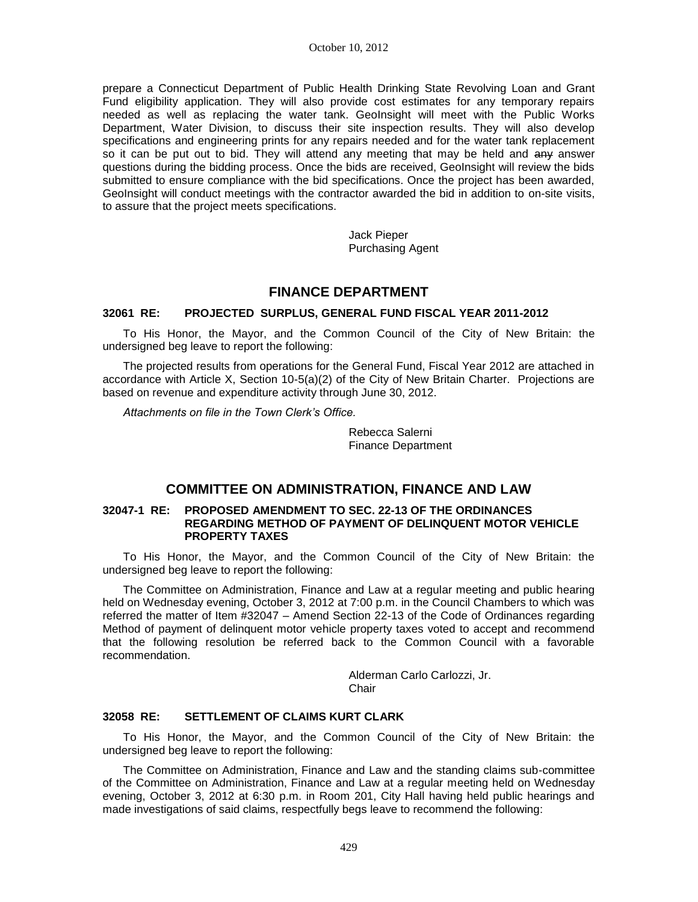prepare a Connecticut Department of Public Health Drinking State Revolving Loan and Grant Fund eligibility application. They will also provide cost estimates for any temporary repairs needed as well as replacing the water tank. GeoInsight will meet with the Public Works Department, Water Division, to discuss their site inspection results. They will also develop specifications and engineering prints for any repairs needed and for the water tank replacement so it can be put out to bid. They will attend any meeting that may be held and any answer questions during the bidding process. Once the bids are received, GeoInsight will review the bids submitted to ensure compliance with the bid specifications. Once the project has been awarded, GeoInsight will conduct meetings with the contractor awarded the bid in addition to on-site visits, to assure that the project meets specifications.

> Jack Pieper Purchasing Agent

## **FINANCE DEPARTMENT**

#### **32061 RE: PROJECTED SURPLUS, GENERAL FUND FISCAL YEAR 2011-2012**

To His Honor, the Mayor, and the Common Council of the City of New Britain: the undersigned beg leave to report the following:

The projected results from operations for the General Fund, Fiscal Year 2012 are attached in accordance with Article X, Section 10-5(a)(2) of the City of New Britain Charter. Projections are based on revenue and expenditure activity through June 30, 2012.

*Attachments on file in the Town Clerk's Office.* 

Rebecca Salerni Finance Department

## **COMMITTEE ON ADMINISTRATION, FINANCE AND LAW**

#### **32047-1 RE: PROPOSED AMENDMENT TO SEC. 22-13 OF THE ORDINANCES REGARDING METHOD OF PAYMENT OF DELINQUENT MOTOR VEHICLE PROPERTY TAXES**

To His Honor, the Mayor, and the Common Council of the City of New Britain: the undersigned beg leave to report the following:

The Committee on Administration, Finance and Law at a regular meeting and public hearing held on Wednesday evening, October 3, 2012 at 7:00 p.m. in the Council Chambers to which was referred the matter of Item #32047 – Amend Section 22-13 of the Code of Ordinances regarding Method of payment of delinquent motor vehicle property taxes voted to accept and recommend that the following resolution be referred back to the Common Council with a favorable recommendation.

> Alderman Carlo Carlozzi, Jr. **Chair**

## **32058 RE: SETTLEMENT OF CLAIMS KURT CLARK**

To His Honor, the Mayor, and the Common Council of the City of New Britain: the undersigned beg leave to report the following:

The Committee on Administration, Finance and Law and the standing claims sub-committee of the Committee on Administration, Finance and Law at a regular meeting held on Wednesday evening, October 3, 2012 at 6:30 p.m. in Room 201, City Hall having held public hearings and made investigations of said claims, respectfully begs leave to recommend the following: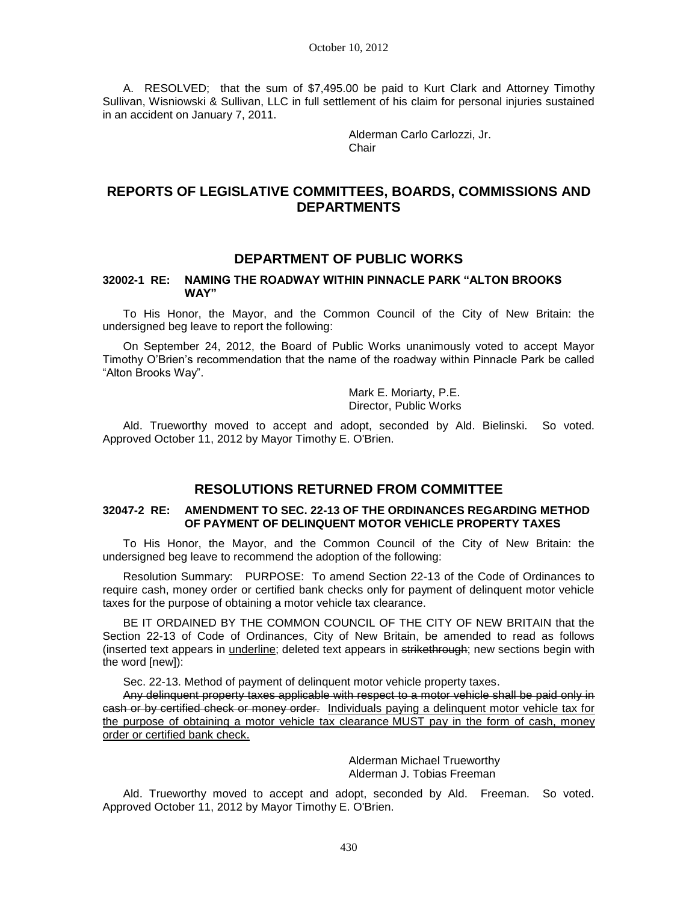A. RESOLVED; that the sum of \$7,495.00 be paid to Kurt Clark and Attorney Timothy Sullivan, Wisniowski & Sullivan, LLC in full settlement of his claim for personal injuries sustained in an accident on January 7, 2011.

> Alderman Carlo Carlozzi, Jr. **Chair**

# **REPORTS OF LEGISLATIVE COMMITTEES, BOARDS, COMMISSIONS AND DEPARTMENTS**

## **DEPARTMENT OF PUBLIC WORKS**

#### **32002-1 RE: NAMING THE ROADWAY WITHIN PINNACLE PARK "ALTON BROOKS WAY"**

To His Honor, the Mayor, and the Common Council of the City of New Britain: the undersigned beg leave to report the following:

On September 24, 2012, the Board of Public Works unanimously voted to accept Mayor Timothy O'Brien's recommendation that the name of the roadway within Pinnacle Park be called "Alton Brooks Way".

> Mark E. Moriarty, P.E. Director, Public Works

Ald. Trueworthy moved to accept and adopt, seconded by Ald. Bielinski. So voted. Approved October 11, 2012 by Mayor Timothy E. O'Brien.

# **RESOLUTIONS RETURNED FROM COMMITTEE**

### **32047-2 RE: AMENDMENT TO SEC. 22-13 OF THE ORDINANCES REGARDING METHOD OF PAYMENT OF DELINQUENT MOTOR VEHICLE PROPERTY TAXES**

To His Honor, the Mayor, and the Common Council of the City of New Britain: the undersigned beg leave to recommend the adoption of the following:

Resolution Summary: PURPOSE: To amend Section 22-13 of the Code of Ordinances to require cash, money order or certified bank checks only for payment of delinquent motor vehicle taxes for the purpose of obtaining a motor vehicle tax clearance.

BE IT ORDAINED BY THE COMMON COUNCIL OF THE CITY OF NEW BRITAIN that the Section 22-13 of Code of Ordinances, City of New Britain, be amended to read as follows (inserted text appears in underline; deleted text appears in strikethrough; new sections begin with the word [new]):

Sec. 22-13. Method of payment of delinquent motor vehicle property taxes.

Any delinquent property taxes applicable with respect to a motor vehicle shall be paid only in cash or by certified check or money order. Individuals paying a delinquent motor vehicle tax for the purpose of obtaining a motor vehicle tax clearance MUST pay in the form of cash, money order or certified bank check.

> Alderman Michael Trueworthy Alderman J. Tobias Freeman

Ald. Trueworthy moved to accept and adopt, seconded by Ald. Freeman. So voted. Approved October 11, 2012 by Mayor Timothy E. O'Brien.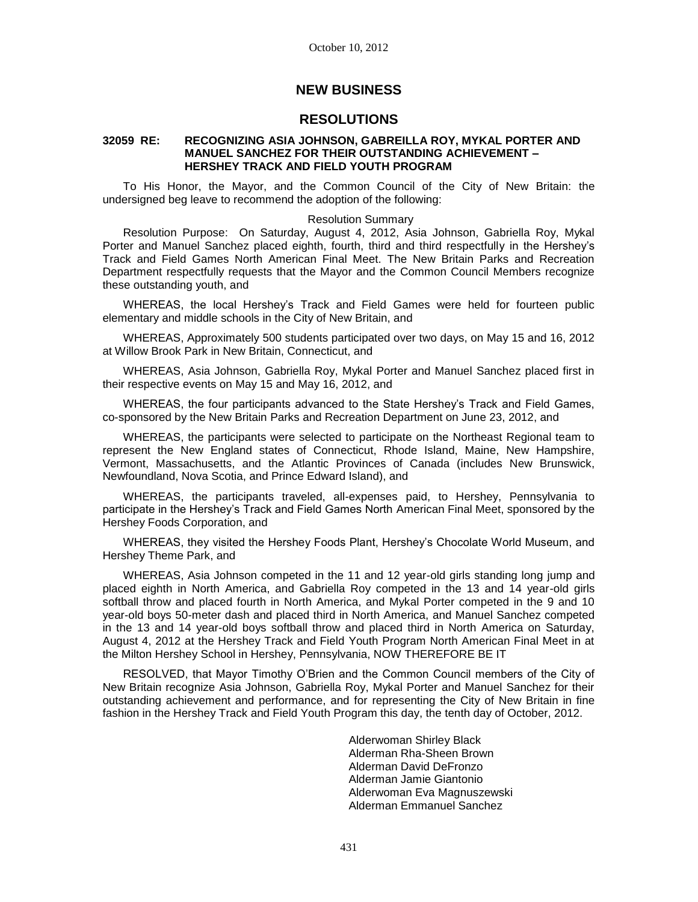## **NEW BUSINESS**

## **RESOLUTIONS**

### **32059 RE: RECOGNIZING ASIA JOHNSON, GABREILLA ROY, MYKAL PORTER AND MANUEL SANCHEZ FOR THEIR OUTSTANDING ACHIEVEMENT – HERSHEY TRACK AND FIELD YOUTH PROGRAM**

To His Honor, the Mayor, and the Common Council of the City of New Britain: the undersigned beg leave to recommend the adoption of the following:

### Resolution Summary

Resolution Purpose: On Saturday, August 4, 2012, Asia Johnson, Gabriella Roy, Mykal Porter and Manuel Sanchez placed eighth, fourth, third and third respectfully in the Hershey's Track and Field Games North American Final Meet. The New Britain Parks and Recreation Department respectfully requests that the Mayor and the Common Council Members recognize these outstanding youth, and

WHEREAS, the local Hershey's Track and Field Games were held for fourteen public elementary and middle schools in the City of New Britain, and

WHEREAS, Approximately 500 students participated over two days, on May 15 and 16, 2012 at Willow Brook Park in New Britain, Connecticut, and

WHEREAS, Asia Johnson, Gabriella Roy, Mykal Porter and Manuel Sanchez placed first in their respective events on May 15 and May 16, 2012, and

WHEREAS, the four participants advanced to the State Hershey's Track and Field Games, co-sponsored by the New Britain Parks and Recreation Department on June 23, 2012, and

WHEREAS, the participants were selected to participate on the Northeast Regional team to represent the New England states of Connecticut, Rhode Island, Maine, New Hampshire, Vermont, Massachusetts, and the Atlantic Provinces of Canada (includes New Brunswick, Newfoundland, Nova Scotia, and Prince Edward Island), and

WHEREAS, the participants traveled, all-expenses paid, to Hershey, Pennsylvania to participate in the Hershey's Track and Field Games North American Final Meet, sponsored by the Hershey Foods Corporation, and

WHEREAS, they visited the Hershey Foods Plant, Hershey's Chocolate World Museum, and Hershey Theme Park, and

WHEREAS, Asia Johnson competed in the 11 and 12 year-old girls standing long jump and placed eighth in North America, and Gabriella Roy competed in the 13 and 14 year-old girls softball throw and placed fourth in North America, and Mykal Porter competed in the 9 and 10 year-old boys 50-meter dash and placed third in North America, and Manuel Sanchez competed in the 13 and 14 year-old boys softball throw and placed third in North America on Saturday, August 4, 2012 at the Hershey Track and Field Youth Program North American Final Meet in at the Milton Hershey School in Hershey, Pennsylvania, NOW THEREFORE BE IT

RESOLVED, that Mayor Timothy O'Brien and the Common Council members of the City of New Britain recognize Asia Johnson, Gabriella Roy, Mykal Porter and Manuel Sanchez for their outstanding achievement and performance, and for representing the City of New Britain in fine fashion in the Hershey Track and Field Youth Program this day, the tenth day of October, 2012.

> Alderwoman Shirley Black Alderman Rha-Sheen Brown Alderman David DeFronzo Alderman Jamie Giantonio Alderwoman Eva Magnuszewski Alderman Emmanuel Sanchez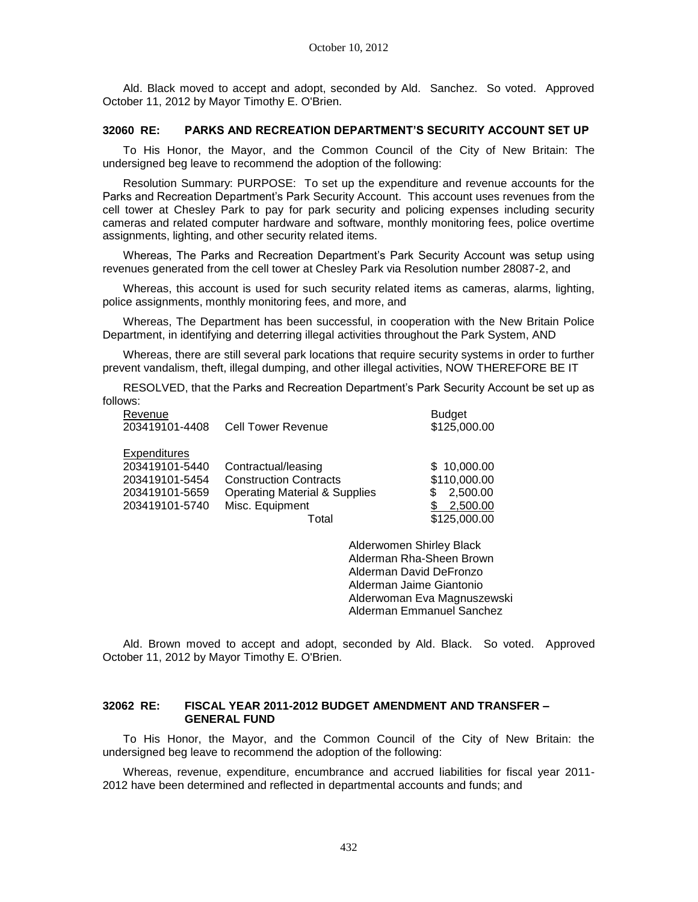Ald. Black moved to accept and adopt, seconded by Ald. Sanchez. So voted. Approved October 11, 2012 by Mayor Timothy E. O'Brien.

#### **32060 RE: PARKS AND RECREATION DEPARTMENT'S SECURITY ACCOUNT SET UP**

To His Honor, the Mayor, and the Common Council of the City of New Britain: The undersigned beg leave to recommend the adoption of the following:

Resolution Summary: PURPOSE: To set up the expenditure and revenue accounts for the Parks and Recreation Department's Park Security Account. This account uses revenues from the cell tower at Chesley Park to pay for park security and policing expenses including security cameras and related computer hardware and software, monthly monitoring fees, police overtime assignments, lighting, and other security related items.

Whereas, The Parks and Recreation Department's Park Security Account was setup using revenues generated from the cell tower at Chesley Park via Resolution number 28087-2, and

Whereas, this account is used for such security related items as cameras, alarms, lighting, police assignments, monthly monitoring fees, and more, and

Whereas, The Department has been successful, in cooperation with the New Britain Police Department, in identifying and deterring illegal activities throughout the Park System, AND

Whereas, there are still several park locations that require security systems in order to further prevent vandalism, theft, illegal dumping, and other illegal activities, NOW THEREFORE BE IT

RESOLVED, that the Parks and Recreation Department's Park Security Account be set up as follows:

| Revenue             |                                          | <b>Budget</b> |
|---------------------|------------------------------------------|---------------|
| 203419101-4408      | <b>Cell Tower Revenue</b>                | \$125,000.00  |
| <b>Expenditures</b> |                                          |               |
| 203419101-5440      | Contractual/leasing                      | \$10,000.00   |
| 203419101-5454      | <b>Construction Contracts</b>            | \$110,000.00  |
| 203419101-5659      | <b>Operating Material &amp; Supplies</b> | 2,500.00<br>S |
| 203419101-5740      | Misc. Equipment                          | 2,500.00      |
|                     | Total                                    | \$125,000.00  |

Alderwomen Shirley Black Alderman Rha-Sheen Brown Alderman David DeFronzo Alderman Jaime Giantonio Alderwoman Eva Magnuszewski Alderman Emmanuel Sanchez

Ald. Brown moved to accept and adopt, seconded by Ald. Black. So voted. Approved October 11, 2012 by Mayor Timothy E. O'Brien.

#### **32062 RE: FISCAL YEAR 2011-2012 BUDGET AMENDMENT AND TRANSFER – GENERAL FUND**

To His Honor, the Mayor, and the Common Council of the City of New Britain: the undersigned beg leave to recommend the adoption of the following:

Whereas, revenue, expenditure, encumbrance and accrued liabilities for fiscal year 2011- 2012 have been determined and reflected in departmental accounts and funds; and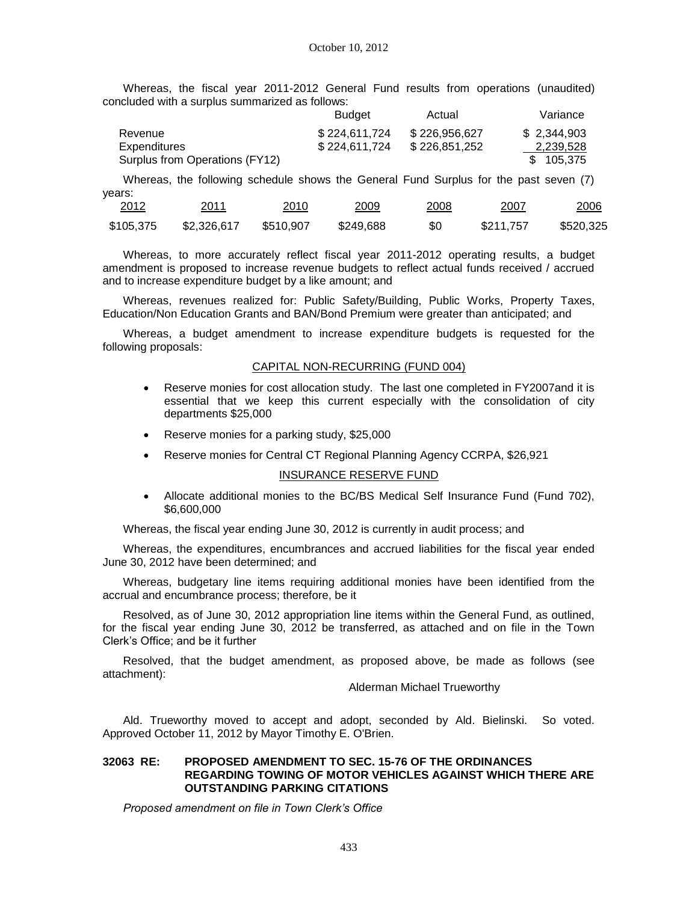Whereas, the fiscal year 2011-2012 General Fund results from operations (unaudited) concluded with a surplus summarized as follows:

|                                | <b>Budget</b> | Actual        | Variance    |
|--------------------------------|---------------|---------------|-------------|
| Revenue                        | \$224.611.724 | \$226.956.627 | \$2.344.903 |
| Expenditures                   | \$224.611.724 | \$226.851.252 | 2,239,528   |
| Surplus from Operations (FY12) |               |               | \$105.375   |

Whereas, the following schedule shows the General Fund Surplus for the past seven (7) years:

| 2012<br><u> The Common Section of the Common Section of</u> | 2011<br><u> The Communication of the Communication of the Communication of the Communication of the Communication of the Communication of the Communication of the Communication of the Communication of the Communication of the Commun</u> | 2010<br><u> 1980 - Andrea Stadt Britain, amerikansk fotballstvands</u> | 2009<br><u> The Communication of the Communication of the Communication of the Communication of the Communication of the Communication of the Communication of the Communication of the Communication of the Communication of the Commun</u> | 2008<br>____ | 2007      | 2006      |
|-------------------------------------------------------------|----------------------------------------------------------------------------------------------------------------------------------------------------------------------------------------------------------------------------------------------|------------------------------------------------------------------------|----------------------------------------------------------------------------------------------------------------------------------------------------------------------------------------------------------------------------------------------|--------------|-----------|-----------|
| \$105.375                                                   | \$2.326.617                                                                                                                                                                                                                                  | \$510.907                                                              | \$249.688                                                                                                                                                                                                                                    | \$0          | \$211.757 | \$520,325 |

Whereas, to more accurately reflect fiscal year 2011-2012 operating results, a budget amendment is proposed to increase revenue budgets to reflect actual funds received / accrued and to increase expenditure budget by a like amount; and

Whereas, revenues realized for: Public Safety/Building, Public Works, Property Taxes, Education/Non Education Grants and BAN/Bond Premium were greater than anticipated; and

Whereas, a budget amendment to increase expenditure budgets is requested for the following proposals:

#### CAPITAL NON-RECURRING (FUND 004)

- Reserve monies for cost allocation study. The last one completed in FY2007and it is essential that we keep this current especially with the consolidation of city departments \$25,000
- Reserve monies for a parking study, \$25,000
- Reserve monies for Central CT Regional Planning Agency CCRPA, \$26,921

#### INSURANCE RESERVE FUND

 Allocate additional monies to the BC/BS Medical Self Insurance Fund (Fund 702), \$6,600,000

Whereas, the fiscal year ending June 30, 2012 is currently in audit process; and

Whereas, the expenditures, encumbrances and accrued liabilities for the fiscal year ended June 30, 2012 have been determined; and

Whereas, budgetary line items requiring additional monies have been identified from the accrual and encumbrance process; therefore, be it

Resolved, as of June 30, 2012 appropriation line items within the General Fund, as outlined, for the fiscal year ending June 30, 2012 be transferred, as attached and on file in the Town Clerk's Office; and be it further

Resolved, that the budget amendment, as proposed above, be made as follows (see attachment):

Alderman Michael Trueworthy

Ald. Trueworthy moved to accept and adopt, seconded by Ald. Bielinski. So voted. Approved October 11, 2012 by Mayor Timothy E. O'Brien.

#### **32063 RE: PROPOSED AMENDMENT TO SEC. 15-76 OF THE ORDINANCES REGARDING TOWING OF MOTOR VEHICLES AGAINST WHICH THERE ARE OUTSTANDING PARKING CITATIONS**

*Proposed amendment on file in Town Clerk's Office*